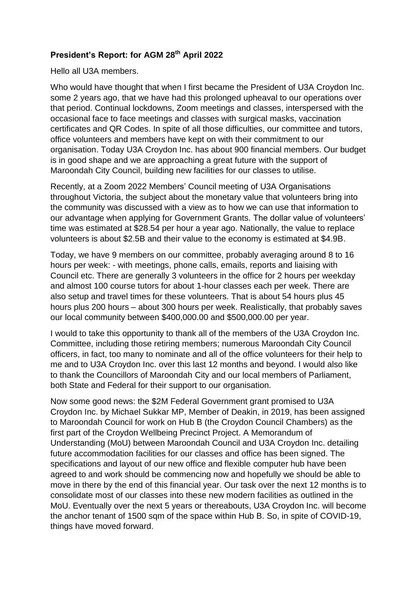## **President's Report: for AGM 28 th April 2022**

Hello all U3A members.

Who would have thought that when I first became the President of U3A Croydon Inc. some 2 years ago, that we have had this prolonged upheaval to our operations over that period. Continual lockdowns, Zoom meetings and classes, interspersed with the occasional face to face meetings and classes with surgical masks, vaccination certificates and QR Codes. In spite of all those difficulties, our committee and tutors, office volunteers and members have kept on with their commitment to our organisation. Today U3A Croydon Inc. has about 900 financial members. Our budget is in good shape and we are approaching a great future with the support of Maroondah City Council, building new facilities for our classes to utilise.

Recently, at a Zoom 2022 Members' Council meeting of U3A Organisations throughout Victoria, the subject about the monetary value that volunteers bring into the community was discussed with a view as to how we can use that information to our advantage when applying for Government Grants. The dollar value of volunteers' time was estimated at \$28.54 per hour a year ago. Nationally, the value to replace volunteers is about \$2.5B and their value to the economy is estimated at \$4.9B.

Today, we have 9 members on our committee, probably averaging around 8 to 16 hours per week: - with meetings, phone calls, emails, reports and liaising with Council etc. There are generally 3 volunteers in the office for 2 hours per weekday and almost 100 course tutors for about 1-hour classes each per week. There are also setup and travel times for these volunteers. That is about 54 hours plus 45 hours plus 200 hours – about 300 hours per week. Realistically, that probably saves our local community between \$400,000.00 and \$500,000.00 per year.

I would to take this opportunity to thank all of the members of the U3A Croydon Inc. Committee, including those retiring members; numerous Maroondah City Council officers, in fact, too many to nominate and all of the office volunteers for their help to me and to U3A Croydon Inc. over this last 12 months and beyond. I would also like to thank the Councillors of Maroondah City and our local members of Parliament, both State and Federal for their support to our organisation.

Now some good news: the \$2M Federal Government grant promised to U3A Croydon Inc. by Michael Sukkar MP, Member of Deakin, in 2019, has been assigned to Maroondah Council for work on Hub B (the Croydon Council Chambers) as the first part of the Croydon Wellbeing Precinct Project. A Memorandum of Understanding (MoU) between Maroondah Council and U3A Croydon Inc. detailing future accommodation facilities for our classes and office has been signed. The specifications and layout of our new office and flexible computer hub have been agreed to and work should be commencing now and hopefully we should be able to move in there by the end of this financial year. Our task over the next 12 months is to consolidate most of our classes into these new modern facilities as outlined in the MoU. Eventually over the next 5 years or thereabouts, U3A Croydon Inc. will become the anchor tenant of 1500 sqm of the space within Hub B. So, in spite of COVID-19, things have moved forward.